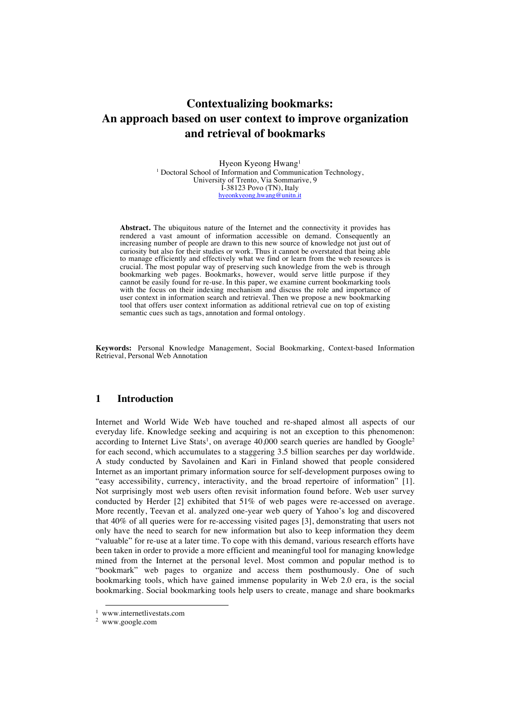# **Contextualizing bookmarks: An approach based on user context to improve organization and retrieval of bookmarks**

Hyeon Kyeong Hwang1 <sup>1</sup> Doctoral School of Information and Communication Technology, University of Trento, Via Sommarive, 9 I-38123 Povo (TN), Italy hyeonkyeong.hwang@unitn.it

**Abstract.** The ubiquitous nature of the Internet and the connectivity it provides has rendered a vast amount of information accessible on demand. Consequently an increasing number of people are drawn to this new source of knowledge not just out of curiosity but also for their studies or work. Thus it cannot be overstated that being able to manage efficiently and effectively what we find or learn from the web resources is crucial. The most popular way of preserving such knowledge from the web is through bookmarking web pages. Bookmarks, however, would serve little purpose if they cannot be easily found for re-use. In this paper, we examine current bookmarking tools with the focus on their indexing mechanism and discuss the role and importance of user context in information search and retrieval. Then we propose a new bookmarking tool that offers user context information as additional retrieval cue on top of existing semantic cues such as tags, annotation and formal ontology.

**Keywords:** Personal Knowledge Management, Social Bookmarking, Context-based Information Retrieval, Personal Web Annotation

### **1 Introduction**

Internet and World Wide Web have touched and re-shaped almost all aspects of our everyday life. Knowledge seeking and acquiring is not an exception to this phenomenon: according to Internet Live Stats<sup>1</sup>, on average  $40,000$  search queries are handled by Google<sup>2</sup> for each second, which accumulates to a staggering 3.5 billion searches per day worldwide. A study conducted by Savolainen and Kari in Finland showed that people considered Internet as an important primary information source for self-development purposes owing to "easy accessibility, currency, interactivity, and the broad repertoire of information" [1]. Not surprisingly most web users often revisit information found before. Web user survey conducted by Herder [2] exhibited that 51% of web pages were re-accessed on average. More recently, Teevan et al. analyzed one-year web query of Yahoo's log and discovered that 40% of all queries were for re-accessing visited pages [3], demonstrating that users not only have the need to search for new information but also to keep information they deem "valuable" for re-use at a later time. To cope with this demand, various research efforts have been taken in order to provide a more efficient and meaningful tool for managing knowledge mined from the Internet at the personal level. Most common and popular method is to "bookmark" web pages to organize and access them posthumously. One of such bookmarking tools, which have gained immense popularity in Web 2.0 era, is the social bookmarking. Social bookmarking tools help users to create, manage and share bookmarks

<sup>&</sup>lt;sup>1</sup> www.internetlivestats.com  $2$  www.google.com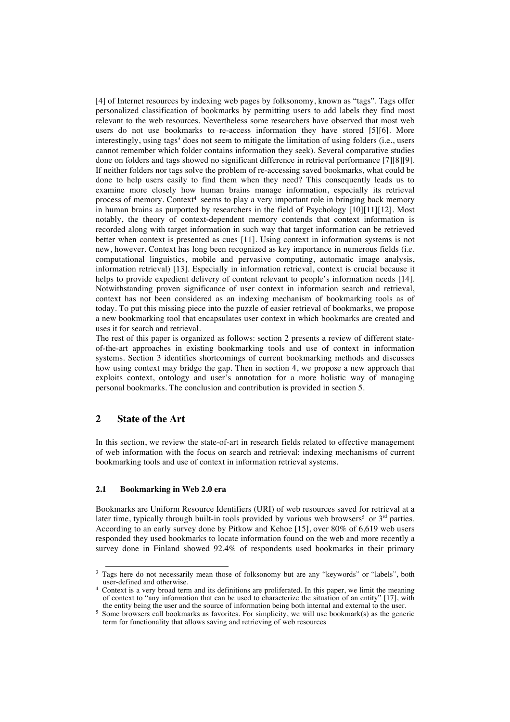[4] of Internet resources by indexing web pages by folksonomy, known as "tags". Tags offer personalized classification of bookmarks by permitting users to add labels they find most relevant to the web resources. Nevertheless some researchers have observed that most web users do not use bookmarks to re-access information they have stored [5][6]. More interestingly, using tags<sup>3</sup> does not seem to mitigate the limitation of using folders (i.e., users cannot remember which folder contains information they seek). Several comparative studies done on folders and tags showed no significant difference in retrieval performance [7][8][9]. If neither folders nor tags solve the problem of re-accessing saved bookmarks, what could be done to help users easily to find them when they need? This consequently leads us to examine more closely how human brains manage information, especially its retrieval process of memory. Context<sup>4</sup> seems to play a very important role in bringing back memory in human brains as purported by researchers in the field of Psychology [10][11][12]. Most notably, the theory of context-dependent memory contends that context information is recorded along with target information in such way that target information can be retrieved better when context is presented as cues [11]. Using context in information systems is not new, however. Context has long been recognized as key importance in numerous fields (i.e. computational linguistics, mobile and pervasive computing, automatic image analysis, information retrieval) [13]. Especially in information retrieval, context is crucial because it helps to provide expedient delivery of content relevant to people's information needs [14]. Notwithstanding proven significance of user context in information search and retrieval, context has not been considered as an indexing mechanism of bookmarking tools as of today. To put this missing piece into the puzzle of easier retrieval of bookmarks, we propose a new bookmarking tool that encapsulates user context in which bookmarks are created and uses it for search and retrieval.

The rest of this paper is organized as follows: section 2 presents a review of different stateof-the-art approaches in existing bookmarking tools and use of context in information systems. Section 3 identifies shortcomings of current bookmarking methods and discusses how using context may bridge the gap. Then in section 4, we propose a new approach that exploits context, ontology and user's annotation for a more holistic way of managing personal bookmarks. The conclusion and contribution is provided in section 5.

## **2 State of the Art**

In this section, we review the state-of-art in research fields related to effective management of web information with the focus on search and retrieval: indexing mechanisms of current bookmarking tools and use of context in information retrieval systems.

#### **2.1 Bookmarking in Web 2.0 era**

Bookmarks are Uniform Resource Identifiers (URI) of web resources saved for retrieval at a later time, typically through built-in tools provided by various web browsers<sup>5</sup> or  $3<sup>rd</sup>$  parties. According to an early survey done by Pitkow and Kehoe [15], over 80% of 6,619 web users responded they used bookmarks to locate information found on the web and more recently a survey done in Finland showed 92.4% of respondents used bookmarks in their primary

<sup>&</sup>lt;sup>3</sup> Tags here do not necessarily mean those of folksonomy but are any "keywords" or "labels", both user-defined and otherwise.<br>Context is a very broad term and its definitions are proliferated. In this paper, we limit the meaning

of context to "any information that can be used to characterize the situation of an entity" [17], with

 $\frac{1}{5}$  Some browsers call bookmarks as favorites. For simplicity, we will use bookmark(s) as the generic term for functionality that allows saving and retrieving of web resources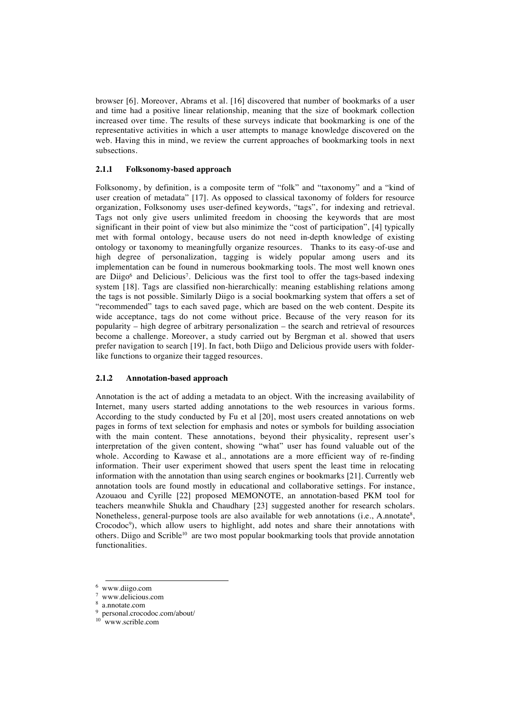browser [6]. Moreover, Abrams et al. [16] discovered that number of bookmarks of a user and time had a positive linear relationship, meaning that the size of bookmark collection increased over time. The results of these surveys indicate that bookmarking is one of the representative activities in which a user attempts to manage knowledge discovered on the web. Having this in mind, we review the current approaches of bookmarking tools in next subsections.

#### **2.1.1 Folksonomy-based approach**

Folksonomy, by definition, is a composite term of "folk" and "taxonomy" and a "kind of user creation of metadata" [17]. As opposed to classical taxonomy of folders for resource organization, Folksonomy uses user-defined keywords, "tags", for indexing and retrieval. Tags not only give users unlimited freedom in choosing the keywords that are most significant in their point of view but also minimize the "cost of participation", [4] typically met with formal ontology, because users do not need in-depth knowledge of existing ontology or taxonomy to meaningfully organize resources. Thanks to its easy-of-use and high degree of personalization, tagging is widely popular among users and its implementation can be found in numerous bookmarking tools. The most well known ones are Diigo<sup>6</sup> and Delicious<sup>7</sup>. Delicious was the first tool to offer the tags-based indexing system [18]. Tags are classified non-hierarchically: meaning establishing relations among the tags is not possible. Similarly Diigo is a social bookmarking system that offers a set of "recommended" tags to each saved page, which are based on the web content. Despite its wide acceptance, tags do not come without price. Because of the very reason for its popularity – high degree of arbitrary personalization – the search and retrieval of resources become a challenge. Moreover, a study carried out by Bergman et al. showed that users prefer navigation to search [19]. In fact, both Diigo and Delicious provide users with folderlike functions to organize their tagged resources.

#### **2.1.2 Annotation-based approach**

Annotation is the act of adding a metadata to an object. With the increasing availability of Internet, many users started adding annotations to the web resources in various forms. According to the study conducted by Fu et al [20], most users created annotations on web pages in forms of text selection for emphasis and notes or symbols for building association with the main content. These annotations, beyond their physicality, represent user's interpretation of the given content, showing "what" user has found valuable out of the whole. According to Kawase et al., annotations are a more efficient way of re-finding information. Their user experiment showed that users spent the least time in relocating information with the annotation than using search engines or bookmarks [21]. Currently web annotation tools are found mostly in educational and collaborative settings. For instance, Azouaou and Cyrille [22] proposed MEMONOTE, an annotation-based PKM tool for teachers meanwhile Shukla and Chaudhary [23] suggested another for research scholars. Nonetheless, general-purpose tools are also available for web annotations (i.e., A.nnotate<sup>8</sup>, Crocodoc<sup>9</sup>), which allow users to highlight, add notes and share their annotations with others. Diigo and Scrible<sup>10</sup> are two most popular bookmarking tools that provide annotation functionalities.

<sup>&</sup>lt;sup>6</sup> www.delicious.com<br>
<sup>7</sup> www.delicious.com<br>
<sup>8</sup> a.nnotate.com<br>
<sup>9</sup> personal.crocodoc.com/about/<br>
<sup>10</sup> www.scrible.com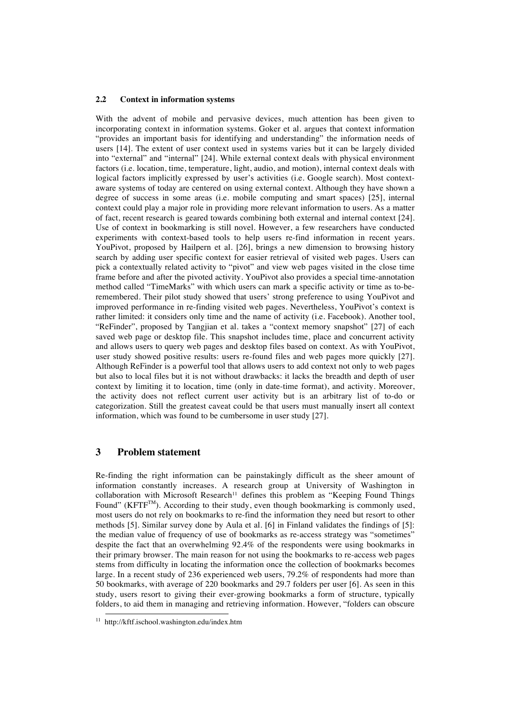#### **2.2 Context in information systems**

With the advent of mobile and pervasive devices, much attention has been given to incorporating context in information systems. Goker et al. argues that context information "provides an important basis for identifying and understanding" the information needs of users [14]. The extent of user context used in systems varies but it can be largely divided into "external" and "internal" [24]. While external context deals with physical environment factors (i.e. location, time, temperature, light, audio, and motion), internal context deals with logical factors implicitly expressed by user's activities (i.e. Google search). Most contextaware systems of today are centered on using external context. Although they have shown a degree of success in some areas (i.e. mobile computing and smart spaces) [25], internal context could play a major role in providing more relevant information to users. As a matter of fact, recent research is geared towards combining both external and internal context [24]. Use of context in bookmarking is still novel. However, a few researchers have conducted experiments with context-based tools to help users re-find information in recent years. YouPivot, proposed by Hailpern et al. [26], brings a new dimension to browsing history search by adding user specific context for easier retrieval of visited web pages. Users can pick a contextually related activity to "pivot" and view web pages visited in the close time frame before and after the pivoted activity. YouPivot also provides a special time-annotation method called "TimeMarks" with which users can mark a specific activity or time as to-beremembered. Their pilot study showed that users' strong preference to using YouPivot and improved performance in re-finding visited web pages. Nevertheless, YouPivot's context is rather limited: it considers only time and the name of activity (i.e. Facebook). Another tool, "ReFinder", proposed by Tangjian et al. takes a "context memory snapshot" [27] of each saved web page or desktop file. This snapshot includes time, place and concurrent activity and allows users to query web pages and desktop files based on context. As with YouPivot, user study showed positive results: users re-found files and web pages more quickly [27]. Although ReFinder is a powerful tool that allows users to add context not only to web pages but also to local files but it is not without drawbacks: it lacks the breadth and depth of user context by limiting it to location, time (only in date-time format), and activity. Moreover, the activity does not reflect current user activity but is an arbitrary list of to-do or categorization. Still the greatest caveat could be that users must manually insert all context information, which was found to be cumbersome in user study [27].

## **3 Problem statement**

Re-finding the right information can be painstakingly difficult as the sheer amount of information constantly increases. A research group at University of Washington in collaboration with Microsoft Research<sup>11</sup> defines this problem as "Keeping Found Things Found" ( $KFTF^{TM}$ ). According to their study, even though bookmarking is commonly used, most users do not rely on bookmarks to re-find the information they need but resort to other methods [5]. Similar survey done by Aula et al. [6] in Finland validates the findings of [5]: the median value of frequency of use of bookmarks as re-access strategy was "sometimes" despite the fact that an overwhelming 92.4% of the respondents were using bookmarks in their primary browser. The main reason for not using the bookmarks to re-access web pages stems from difficulty in locating the information once the collection of bookmarks becomes large. In a recent study of 236 experienced web users, 79.2% of respondents had more than 50 bookmarks, with average of 220 bookmarks and 29.7 folders per user [6]. As seen in this study, users resort to giving their ever-growing bookmarks a form of structure, typically folders, to aid them in managing and retrieving information. However, "folders can obscure

 <sup>11</sup> http://kftf.ischool.washington.edu/index.htm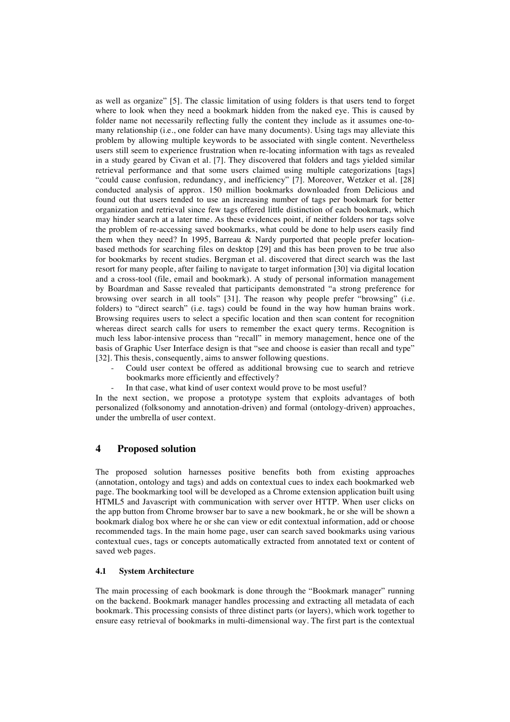as well as organize" [5]. The classic limitation of using folders is that users tend to forget where to look when they need a bookmark hidden from the naked eye. This is caused by folder name not necessarily reflecting fully the content they include as it assumes one-tomany relationship (i.e., one folder can have many documents). Using tags may alleviate this problem by allowing multiple keywords to be associated with single content. Nevertheless users still seem to experience frustration when re-locating information with tags as revealed in a study geared by Civan et al. [7]. They discovered that folders and tags yielded similar retrieval performance and that some users claimed using multiple categorizations [tags] "could cause confusion, redundancy, and inefficiency" [7]. Moreover, Wetzker et al. [28] conducted analysis of approx. 150 million bookmarks downloaded from Delicious and found out that users tended to use an increasing number of tags per bookmark for better organization and retrieval since few tags offered little distinction of each bookmark, which may hinder search at a later time. As these evidences point, if neither folders nor tags solve the problem of re-accessing saved bookmarks, what could be done to help users easily find them when they need? In 1995, Barreau & Nardy purported that people prefer locationbased methods for searching files on desktop [29] and this has been proven to be true also for bookmarks by recent studies. Bergman et al. discovered that direct search was the last resort for many people, after failing to navigate to target information [30] via digital location and a cross-tool (file, email and bookmark). A study of personal information management by Boardman and Sasse revealed that participants demonstrated "a strong preference for browsing over search in all tools" [31]. The reason why people prefer "browsing" (i.e. folders) to "direct search" (i.e. tags) could be found in the way how human brains work. Browsing requires users to select a specific location and then scan content for recognition whereas direct search calls for users to remember the exact query terms. Recognition is much less labor-intensive process than "recall" in memory management, hence one of the basis of Graphic User Interface design is that "see and choose is easier than recall and type" [32]. This thesis, consequently, aims to answer following questions.

- Could user context be offered as additional browsing cue to search and retrieve bookmarks more efficiently and effectively?
- In that case, what kind of user context would prove to be most useful?

In the next section, we propose a prototype system that exploits advantages of both personalized (folksonomy and annotation-driven) and formal (ontology-driven) approaches, under the umbrella of user context.

## **4 Proposed solution**

The proposed solution harnesses positive benefits both from existing approaches (annotation, ontology and tags) and adds on contextual cues to index each bookmarked web page. The bookmarking tool will be developed as a Chrome extension application built using HTML5 and Javascript with communication with server over HTTP. When user clicks on the app button from Chrome browser bar to save a new bookmark, he or she will be shown a bookmark dialog box where he or she can view or edit contextual information, add or choose recommended tags. In the main home page, user can search saved bookmarks using various contextual cues, tags or concepts automatically extracted from annotated text or content of saved web pages.

#### **4.1 System Architecture**

The main processing of each bookmark is done through the "Bookmark manager" running on the backend. Bookmark manager handles processing and extracting all metadata of each bookmark. This processing consists of three distinct parts (or layers), which work together to ensure easy retrieval of bookmarks in multi-dimensional way. The first part is the contextual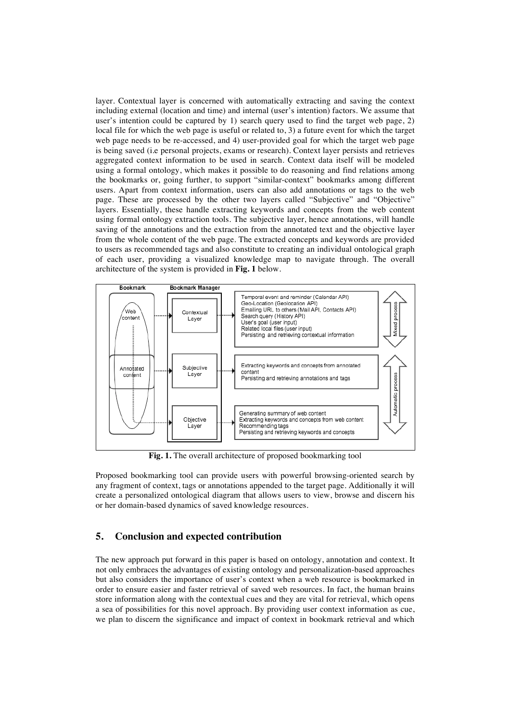layer. Contextual layer is concerned with automatically extracting and saving the context including external (location and time) and internal (user's intention) factors. We assume that user's intention could be captured by 1) search query used to find the target web page, 2) local file for which the web page is useful or related to, 3) a future event for which the target web page needs to be re-accessed, and 4) user-provided goal for which the target web page is being saved (i.e personal projects, exams or research). Context layer persists and retrieves aggregated context information to be used in search. Context data itself will be modeled using a formal ontology, which makes it possible to do reasoning and find relations among the bookmarks or, going further, to support "similar-context" bookmarks among different users. Apart from context information, users can also add annotations or tags to the web page. These are processed by the other two layers called "Subjective" and "Objective" layers. Essentially, these handle extracting keywords and concepts from the web content using formal ontology extraction tools. The subjective layer, hence annotations, will handle saving of the annotations and the extraction from the annotated text and the objective layer from the whole content of the web page. The extracted concepts and keywords are provided to users as recommended tags and also constitute to creating an individual ontological graph of each user, providing a visualized knowledge map to navigate through. The overall architecture of the system is provided in **Fig. 1** below.



**Fig. 1.** The overall architecture of proposed bookmarking tool

Proposed bookmarking tool can provide users with powerful browsing-oriented search by any fragment of context, tags or annotations appended to the target page. Additionally it will create a personalized ontological diagram that allows users to view, browse and discern his or her domain-based dynamics of saved knowledge resources.

## **5. Conclusion and expected contribution**

The new approach put forward in this paper is based on ontology, annotation and context. It not only embraces the advantages of existing ontology and personalization-based approaches but also considers the importance of user's context when a web resource is bookmarked in order to ensure easier and faster retrieval of saved web resources. In fact, the human brains store information along with the contextual cues and they are vital for retrieval, which opens a sea of possibilities for this novel approach. By providing user context information as cue, we plan to discern the significance and impact of context in bookmark retrieval and which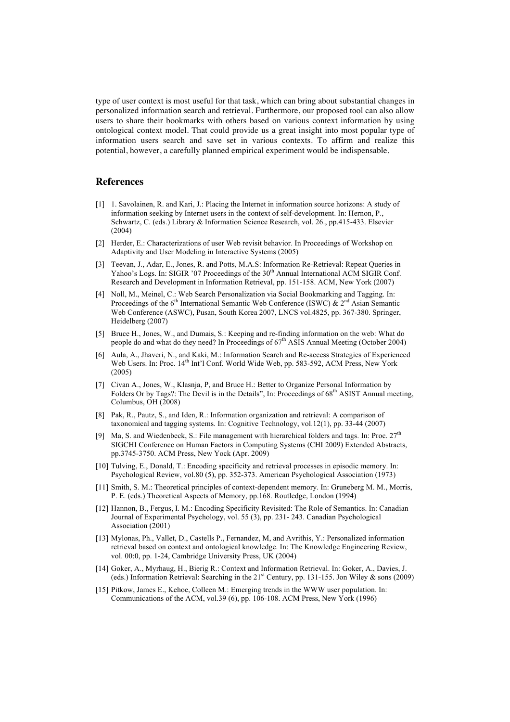type of user context is most useful for that task, which can bring about substantial changes in personalized information search and retrieval. Furthermore, our proposed tool can also allow users to share their bookmarks with others based on various context information by using ontological context model. That could provide us a great insight into most popular type of information users search and save set in various contexts. To affirm and realize this potential, however, a carefully planned empirical experiment would be indispensable.

#### **References**

- [1] 1. Savolainen, R. and Kari, J.: Placing the Internet in information source horizons: A study of information seeking by Internet users in the context of self-development. In: Hernon, P., Schwartz, C. (eds.) Library & Information Science Research, vol. 26., pp.415-433. Elsevier (2004)
- [2] Herder, E.: Characterizations of user Web revisit behavior. In Proceedings of Workshop on Adaptivity and User Modeling in Interactive Systems (2005)
- [3] Teevan, J., Adar, E., Jones, R. and Potts, M.A.S: Information Re-Retrieval: Repeat Queries in Yahoo's Logs. In: SIGIR '07 Proceedings of the 30<sup>th</sup> Annual International ACM SIGIR Conf. Research and Development in Information Retrieval, pp. 151-158. ACM, New York (2007)
- [4] Noll, M., Meinel, C.: Web Search Personalization via Social Bookmarking and Tagging. In: Proceedings of the 6<sup>th</sup> International Semantic Web Conference (ISWC) &  $2<sup>nd</sup>$  Asian Semantic Web Conference (ASWC), Pusan, South Korea 2007, LNCS vol.4825, pp. 367-380. Springer, Heidelberg (2007)
- [5] Bruce H., Jones, W., and Dumais, S.: Keeping and re-finding information on the web: What do people do and what do they need? In Proceedings of  $67<sup>th</sup>$  ASIS Annual Meeting (October 2004)
- [6] Aula, A., Jhaveri, N., and Kaki, M.: Information Search and Re-access Strategies of Experienced Web Users. In: Proc. 14<sup>th</sup> Int'l Conf. World Wide Web, pp. 583-592, ACM Press, New York (2005)
- [7] Civan A., Jones, W., Klasnja, P, and Bruce H.: Better to Organize Personal Information by Folders Or by Tags?: The Devil is in the Details", In: Proceedings of 68<sup>th</sup> ASIST Annual meeting, Columbus, OH (2008)
- [8] Pak, R., Pautz, S., and Iden, R.: Information organization and retrieval: A comparison of taxonomical and tagging systems. In: Cognitive Technology, vol.12(1), pp. 33-44 (2007)
- [9] Ma, S. and Wiedenbeck, S.: File management with hierarchical folders and tags. In: Proc.  $27<sup>th</sup>$ SIGCHI Conference on Human Factors in Computing Systems (CHI 2009) Extended Abstracts, pp.3745-3750. ACM Press, New Yock (Apr. 2009)
- [10] Tulving, E., Donald, T.: Encoding specificity and retrieval processes in episodic memory. In: Psychological Review, vol.80 (5), pp. 352-373. American Psychological Association (1973)
- [11] Smith, S. M.: Theoretical principles of context-dependent memory. In: Gruneberg M. M., Morris, P. E. (eds.) Theoretical Aspects of Memory, pp.168. Routledge, London (1994)
- [12] Hannon, B., Fergus, I. M.: Encoding Specificity Revisited: The Role of Semantics. In: Canadian Journal of Experimental Psychology, vol. 55 (3), pp. 231- 243. Canadian Psychological Association (2001)
- [13] Mylonas, Ph., Vallet, D., Castells P., Fernandez, M, and Avrithis, Y.: Personalized information retrieval based on context and ontological knowledge. In: The Knowledge Engineering Review, vol. 00:0, pp. 1-24, Cambridge University Press, UK (2004)
- [14] Goker, A., Myrhaug, H., Bierig R.: Context and Information Retrieval. In: Goker, A., Davies, J. (eds.) Information Retrieval: Searching in the  $21<sup>st</sup>$  Century, pp. 131-155. Jon Wiley & sons (2009)
- [15] Pitkow, James E., Kehoe, Colleen M.: Emerging trends in the WWW user population. In: Communications of the ACM, vol.39 (6), pp. 106-108. ACM Press, New York (1996)